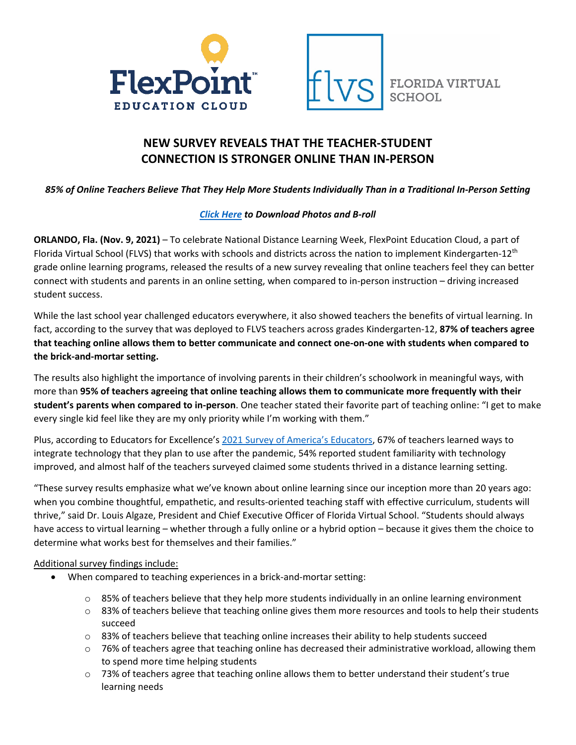



# **NEW SURVEY REVEALS THAT THE TEACHER-STUDENT CONNECTION IS STRONGER ONLINE THAN IN-PERSON**

*85% of Online Teachers Believe That They Help More Students Individually Than in a Traditional In-Person Setting*

## *[Click Here](https://drive.google.com/drive/folders/1HRcrHCzU9nfHCQtoY-Qp3r9EWWSPg9Wc?usp=sharing) to Download Photos and B-roll*

**ORLANDO, Fla. (Nov. 9, 2021)** – To celebrate National Distance Learning Week, FlexPoint Education Cloud, a part of Florida Virtual School (FLVS) that works with schools and districts across the nation to implement Kindergarten-12<sup>th</sup> grade online learning programs, released the results of a new survey revealing that online teachers feel they can better connect with students and parents in an online setting, when compared to in-person instruction – driving increased student success.

While the last school year challenged educators everywhere, it also showed teachers the benefits of virtual learning. In fact, according to the survey that was deployed to FLVS teachers across grades Kindergarten-12, **87% of teachers agree that teaching online allows them to better communicate and connect one-on-one with students when compared to the brick-and-mortar setting.** 

The results also highlight the importance of involving parents in their children's schoolwork in meaningful ways, with more than **95% of teachers agreeing that online teaching allows them to communicate more frequently with their student's parents when compared to in-person**. One teacher stated their favorite part of teaching online: "I get to make every single kid feel like they are my only priority while I'm working with them."

Plus, according to Educators for Excellence's [2021 Survey of America's Educators,](https://e4e.org/news/voices-classroom-2021-survey-americas-educators) 67% of teachers learned ways to integrate technology that they plan to use after the pandemic, 54% reported student familiarity with technology improved, and almost half of the teachers surveyed claimed some students thrived in a distance learning setting.

"These survey results emphasize what we've known about online learning since our inception more than 20 years ago: when you combine thoughtful, empathetic, and results-oriented teaching staff with effective curriculum, students will thrive," said Dr. Louis Algaze, President and Chief Executive Officer of Florida Virtual School. "Students should always have access to virtual learning – whether through a fully online or a hybrid option – because it gives them the choice to determine what works best for themselves and their families."

## Additional survey findings include:

- When compared to teaching experiences in a brick-and-mortar setting:
	- $\circ$  85% of teachers believe that they help more students individually in an online learning environment
	- $\circ$  83% of teachers believe that teaching online gives them more resources and tools to help their students succeed
	- $\circ$  83% of teachers believe that teaching online increases their ability to help students succeed
	- $\circ$  76% of teachers agree that teaching online has decreased their administrative workload, allowing them to spend more time helping students
	- $\circ$  73% of teachers agree that teaching online allows them to better understand their student's true learning needs